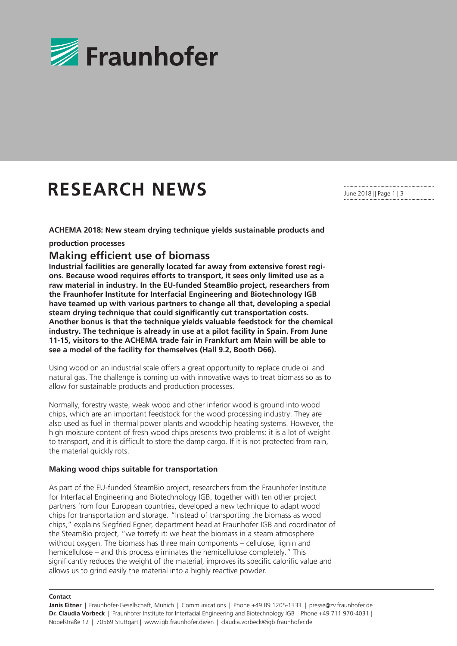

# **RESEARCH NEWS**

**ACHEMA 2018: New steam drying technique yields sustainable products and** 

**production processes**

## **Making efficient use of biomass**

**Industrial facilities are generally located far away from extensive forest regions. Because wood requires efforts to transport, it sees only limited use as a raw material in industry. In the EU-funded SteamBio project, researchers from the Fraunhofer Institute for Interfacial Engineering and Biotechnology IGB have teamed up with various partners to change all that, developing a special steam drying technique that could significantly cut transportation costs. Another bonus is that the technique yields valuable feedstock for the chemical industry. The technique is already in use at a pilot facility in Spain. From June 11-15, visitors to the ACHEMA trade fair in Frankfurt am Main will be able to see a model of the facility for themselves (Hall 9.2, Booth D66).** 

Using wood on an industrial scale offers a great opportunity to replace crude oil and natural gas. The challenge is coming up with innovative ways to treat biomass so as to allow for sustainable products and production processes.

Normally, forestry waste, weak wood and other inferior wood is ground into wood chips, which are an important feedstock for the wood processing industry. They are also used as fuel in thermal power plants and woodchip heating systems. However, the high moisture content of fresh wood chips presents two problems: it is a lot of weight to transport, and it is difficult to store the damp cargo. If it is not protected from rain, the material quickly rots.

## **Making wood chips suitable for transportation**

As part of the EU-funded SteamBio project, researchers from the Fraunhofer Institute for Interfacial Engineering and Biotechnology IGB, together with ten other project partners from four European countries, developed a new technique to adapt wood chips for transportation and storage. "Instead of transporting the biomass as wood chips," explains Siegfried Egner, department head at Fraunhofer IGB and coordinator of the SteamBio project, "we torrefy it: we heat the biomass in a steam atmosphere without oxygen. The biomass has three main components – cellulose, lignin and hemicellulose – and this process eliminates the hemicellulose completely." This significantly reduces the weight of the material, improves its specific calorific value and allows us to grind easily the material into a highly reactive powder.

**Contact**

**Janis Eitner** | Fraunhofer-Gesellschaft, Munich | Communications | Phone +49 89 1205-1333 | presse@zv.fraunhofer.de **Dr. Claudia Vorbeck** | Fraunhofer Institute for Interfacial Engineering and Biotechnology IGB | Phone +49 711 970-4031 | Nobelstraße 12 | 70569 Stuttgart | www.igb.fraunhofer.de/en | claudia.vorbeck@igb.fraunhofer.de

June 2018 || Page 1 | 3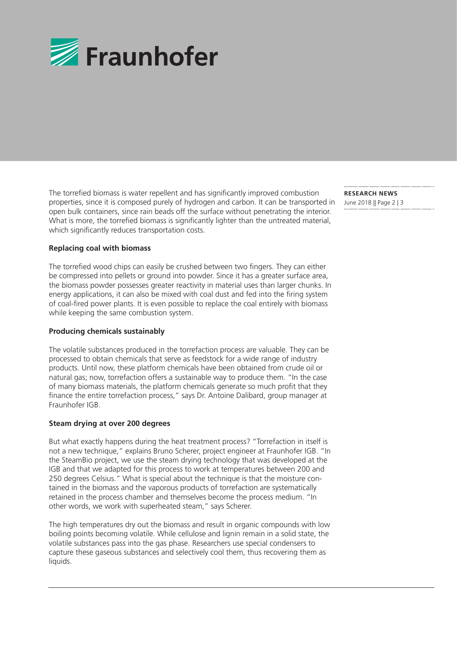

The torrefied biomass is water repellent and has significantly improved combustion properties, since it is composed purely of hydrogen and carbon. It can be transported in open bulk containers, since rain beads off the surface without penetrating the interior. What is more, the torrefied biomass is significantly lighter than the untreated material, which significantly reduces transportation costs.

**RESEARCH NEWS**  June 2018 || Page 2 | 3

## **Replacing coal with biomass**

The torrefied wood chips can easily be crushed between two fingers. They can either be compressed into pellets or ground into powder. Since it has a greater surface area, the biomass powder possesses greater reactivity in material uses than larger chunks. In energy applications, it can also be mixed with coal dust and fed into the firing system of coal-fired power plants. It is even possible to replace the coal entirely with biomass while keeping the same combustion system.

### **Producing chemicals sustainably**

The volatile substances produced in the torrefaction process are valuable. They can be processed to obtain chemicals that serve as feedstock for a wide range of industry products. Until now, these platform chemicals have been obtained from crude oil or natural gas; now, torrefaction offers a sustainable way to produce them. "In the case of many biomass materials, the platform chemicals generate so much profit that they finance the entire torrefaction process," says Dr. Antoine Dalibard, group manager at Fraunhofer IGB.

#### **Steam drying at over 200 degrees**

But what exactly happens during the heat treatment process? "Torrefaction in itself is not a new technique," explains Bruno Scherer, project engineer at Fraunhofer IGB. "In the SteamBio project, we use the steam drying technology that was developed at the IGB and that we adapted for this process to work at temperatures between 200 and 250 degrees Celsius." What is special about the technique is that the moisture contained in the biomass and the vaporous products of torrefaction are systematically retained in the process chamber and themselves become the process medium. "In other words, we work with superheated steam," says Scherer.

The high temperatures dry out the biomass and result in organic compounds with low boiling points becoming volatile. While cellulose and lignin remain in a solid state, the volatile substances pass into the gas phase. Researchers use special condensers to capture these gaseous substances and selectively cool them, thus recovering them as liquids.